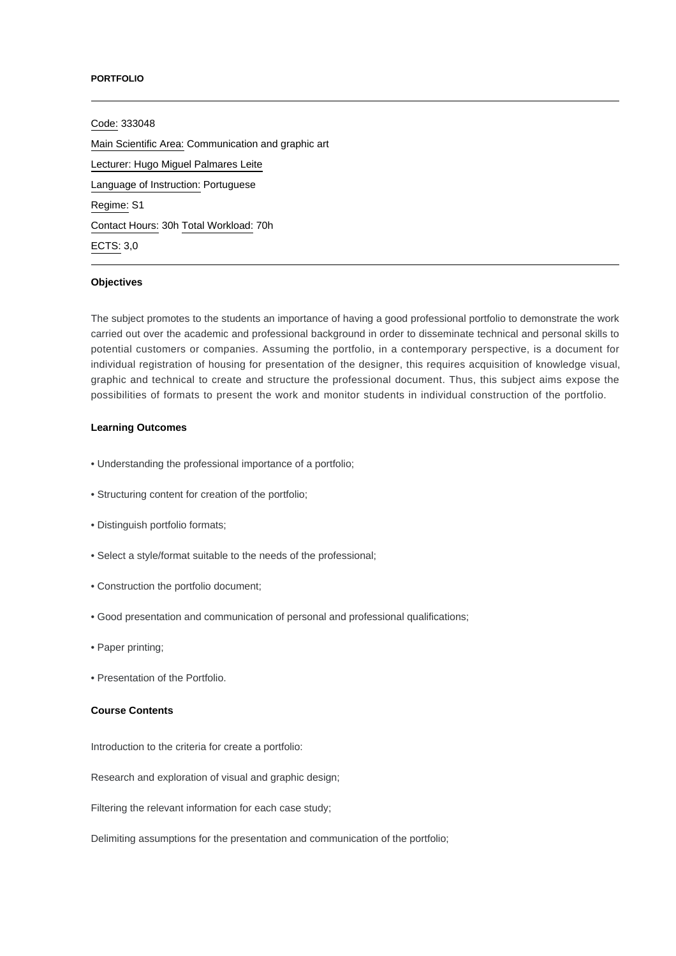#### **PORTFOLIO**

Code: 333048 Main Scientific Area: Communication and graphic art Lecturer: [Hugo Miguel Palmares Leite](mailto:hpalmares@ipca.pt) Language of Instruction: Portuguese Regime: S1 Contact Hours: 30h Total Workload: 70h ECTS: 3,0

## **Objectives**

The subject promotes to the students an importance of having a good professional portfolio to demonstrate the work carried out over the academic and professional background in order to disseminate technical and personal skills to potential customers or companies. Assuming the portfolio, in a contemporary perspective, is a document for individual registration of housing for presentation of the designer, this requires acquisition of knowledge visual, graphic and technical to create and structure the professional document. Thus, this subject aims expose the possibilities of formats to present the work and monitor students in individual construction of the portfolio.

## **Learning Outcomes**

- Understanding the professional importance of a portfolio;
- Structuring content for creation of the portfolio;
- Distinguish portfolio formats;
- Select a style/format suitable to the needs of the professional;
- Construction the portfolio document;
- Good presentation and communication of personal and professional qualifications;
- Paper printing;
- Presentation of the Portfolio.

#### **Course Contents**

Introduction to the criteria for create a portfolio:

Research and exploration of visual and graphic design;

Filtering the relevant information for each case study;

Delimiting assumptions for the presentation and communication of the portfolio;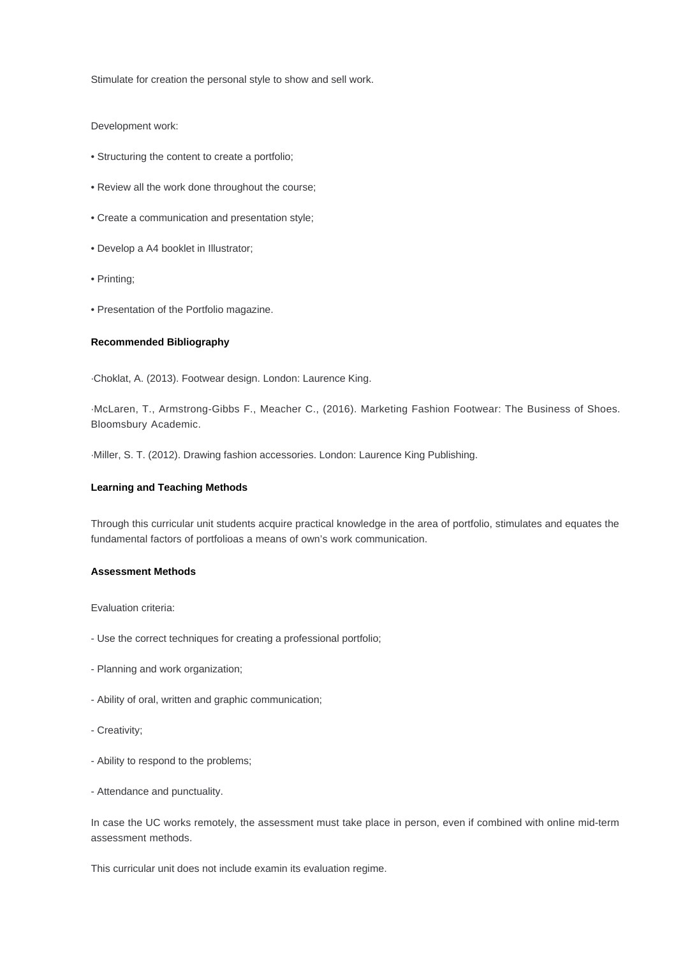Stimulate for creation the personal style to show and sell work.

## Development work:

- Structuring the content to create a portfolio;
- Review all the work done throughout the course;
- Create a communication and presentation style;
- Develop a A4 booklet in Illustrator;
- Printing;
- Presentation of the Portfolio magazine.

# **Recommended Bibliography**

·Choklat, A. (2013). Footwear design. London: Laurence King.

·McLaren, T., Armstrong-Gibbs F., Meacher C., (2016). Marketing Fashion Footwear: The Business of Shoes. Bloomsbury Academic.

·Miller, S. T. (2012). Drawing fashion accessories. London: Laurence King Publishing.

#### **Learning and Teaching Methods**

Through this curricular unit students acquire practical knowledge in the area of portfolio, stimulates and equates the fundamental factors of portfolioas a means of own's work communication.

## **Assessment Methods**

Evaluation criteria:

- Use the correct techniques for creating a professional portfolio;
- Planning and work organization;
- Ability of oral, written and graphic communication;
- Creativity;
- Ability to respond to the problems;
- Attendance and punctuality.

In case the UC works remotely, the assessment must take place in person, even if combined with online mid-term assessment methods.

This curricular unit does not include examin its evaluation regime.